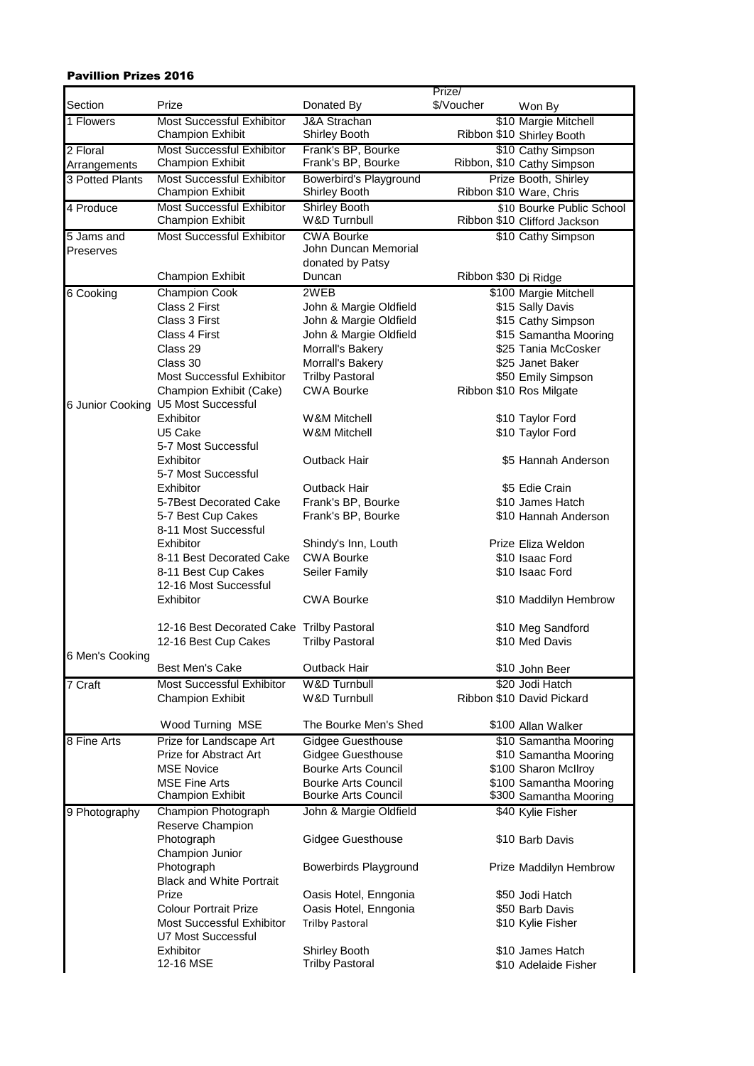## Pavillion Prizes 2016

|                 |                                                             |                                                 | Prize/               |                                                           |
|-----------------|-------------------------------------------------------------|-------------------------------------------------|----------------------|-----------------------------------------------------------|
| Section         | Prize                                                       | Donated By                                      | \$/Voucher           | Won By                                                    |
| 1 Flowers       | <b>Most Successful Exhibitor</b>                            | <b>J&amp;A Strachan</b>                         |                      | \$10 Margie Mitchell                                      |
|                 | <b>Champion Exhibit</b>                                     | Shirley Booth                                   |                      | Ribbon \$10 Shirley Booth                                 |
| 2 Floral        | Most Successful Exhibitor                                   | Frank's BP, Bourke                              |                      | \$10 Cathy Simpson                                        |
| Arrangements    | <b>Champion Exhibit</b>                                     | Frank's BP, Bourke                              |                      | Ribbon, \$10 Cathy Simpson                                |
| 3 Potted Plants | Most Successful Exhibitor                                   | Bowerbird's Playground                          |                      | Prize Booth, Shirley                                      |
|                 | <b>Champion Exhibit</b>                                     | Shirley Booth                                   |                      | Ribbon \$10 Ware, Chris                                   |
| 4 Produce       | <b>Most Successful Exhibitor</b><br><b>Champion Exhibit</b> | <b>Shirley Booth</b><br><b>W&amp;D Turnbull</b> |                      | \$10 Bourke Public School<br>Ribbon \$10 Clifford Jackson |
| 5 Jams and      | <b>Most Successful Exhibitor</b>                            | <b>CWA Bourke</b>                               |                      | \$10 Cathy Simpson                                        |
| Preserves       |                                                             | John Duncan Memorial                            |                      |                                                           |
|                 |                                                             | donated by Patsy                                |                      |                                                           |
|                 | <b>Champion Exhibit</b>                                     | Duncan                                          | Ribbon \$30 Di Ridge |                                                           |
| 6 Cooking       | <b>Champion Cook</b>                                        | 2WEB                                            |                      | \$100 Margie Mitchell                                     |
|                 | Class 2 First                                               | John & Margie Oldfield                          |                      | \$15 Sally Davis                                          |
|                 | Class 3 First                                               | John & Margie Oldfield                          |                      | \$15 Cathy Simpson                                        |
|                 | Class 4 First                                               | John & Margie Oldfield                          |                      | \$15 Samantha Mooring                                     |
|                 | Class 29                                                    | Morrall's Bakery                                |                      | \$25 Tania McCosker                                       |
|                 | Class 30                                                    | Morrall's Bakery                                |                      | \$25 Janet Baker                                          |
|                 | Most Successful Exhibitor                                   | <b>Trilby Pastoral</b>                          |                      | \$50 Emily Simpson                                        |
|                 | Champion Exhibit (Cake)                                     | <b>CWA Bourke</b>                               |                      | Ribbon \$10 Ros Milgate                                   |
|                 | 6 Junior Cooking U5 Most Successful                         |                                                 |                      |                                                           |
|                 | Exhibitor                                                   | W&M Mitchell                                    |                      | \$10 Taylor Ford                                          |
|                 | U5 Cake                                                     | W&M Mitchell                                    |                      | \$10 Taylor Ford                                          |
|                 | 5-7 Most Successful                                         |                                                 |                      |                                                           |
|                 | Exhibitor                                                   | Outback Hair                                    |                      | \$5 Hannah Anderson                                       |
|                 | 5-7 Most Successful                                         |                                                 |                      |                                                           |
|                 | Exhibitor                                                   | Outback Hair                                    |                      | \$5 Edie Crain                                            |
|                 | 5-7Best Decorated Cake                                      | Frank's BP, Bourke                              |                      | \$10 James Hatch                                          |
|                 | 5-7 Best Cup Cakes                                          | Frank's BP, Bourke                              |                      | \$10 Hannah Anderson                                      |
|                 | 8-11 Most Successful                                        |                                                 |                      |                                                           |
|                 | Exhibitor                                                   | Shindy's Inn, Louth                             |                      | Prize Eliza Weldon                                        |
|                 | 8-11 Best Decorated Cake                                    | <b>CWA Bourke</b>                               |                      | \$10 Isaac Ford                                           |
|                 | 8-11 Best Cup Cakes<br>12-16 Most Successful                | Seiler Family                                   |                      | \$10 Isaac Ford                                           |
|                 | Exhibitor                                                   | <b>CWA Bourke</b>                               |                      |                                                           |
|                 |                                                             |                                                 |                      | \$10 Maddilyn Hembrow                                     |
|                 | 12-16 Best Decorated Cake Trilby Pastoral                   |                                                 |                      | \$10 Meg Sandford                                         |
|                 | 12-16 Best Cup Cakes                                        | <b>Trilby Pastoral</b>                          |                      | \$10 Med Davis                                            |
| 6 Men's Cooking |                                                             |                                                 |                      |                                                           |
|                 | <b>Best Men's Cake</b>                                      | Outback Hair                                    |                      | \$10 John Beer                                            |
| 7 Craft         | <b>Most Successful Exhibitor</b>                            | <b>W&amp;D Turnbull</b>                         |                      | \$20 Jodi Hatch                                           |
|                 | <b>Champion Exhibit</b>                                     | <b>W&amp;D Turnbull</b>                         |                      | Ribbon \$10 David Pickard                                 |
|                 |                                                             |                                                 |                      |                                                           |
|                 | Wood Turning MSE                                            | The Bourke Men's Shed                           |                      | \$100 Allan Walker                                        |
| 8 Fine Arts     | Prize for Landscape Art                                     | <b>Gidgee Guesthouse</b>                        |                      | \$10 Samantha Mooring                                     |
|                 | Prize for Abstract Art                                      | <b>Gidgee Guesthouse</b>                        |                      | \$10 Samantha Mooring                                     |
|                 | <b>MSE Novice</b>                                           | <b>Bourke Arts Council</b>                      |                      | \$100 Sharon McIlroy                                      |
|                 | <b>MSE Fine Arts</b>                                        | Bourke Arts Council                             |                      | \$100 Samantha Mooring                                    |
|                 | <b>Champion Exhibit</b>                                     | Bourke Arts Council                             |                      | \$300 Samantha Mooring                                    |
| 9 Photography   | Champion Photograph                                         | John & Margie Oldfield                          |                      | \$40 Kylie Fisher                                         |
|                 | Reserve Champion                                            |                                                 |                      |                                                           |
|                 | Photograph                                                  | <b>Gidgee Guesthouse</b>                        |                      | \$10 Barb Davis                                           |
|                 | Champion Junior                                             |                                                 |                      |                                                           |
|                 | Photograph                                                  | Bowerbirds Playground                           |                      | Prize Maddilyn Hembrow                                    |
|                 | <b>Black and White Portrait</b>                             |                                                 |                      |                                                           |
|                 | Prize                                                       | Oasis Hotel, Enngonia                           |                      | \$50 Jodi Hatch                                           |
|                 | <b>Colour Portrait Prize</b>                                | Oasis Hotel, Enngonia                           |                      | \$50 Barb Davis                                           |
|                 | <b>Most Successful Exhibitor</b>                            | <b>Trilby Pastoral</b>                          |                      | \$10 Kylie Fisher                                         |
|                 | U7 Most Successful                                          |                                                 |                      |                                                           |
|                 | Exhibitor                                                   | Shirley Booth<br>\$10 James Hatch               |                      |                                                           |
|                 | 12-16 MSE                                                   | <b>Trilby Pastoral</b>                          |                      | \$10 Adelaide Fisher                                      |